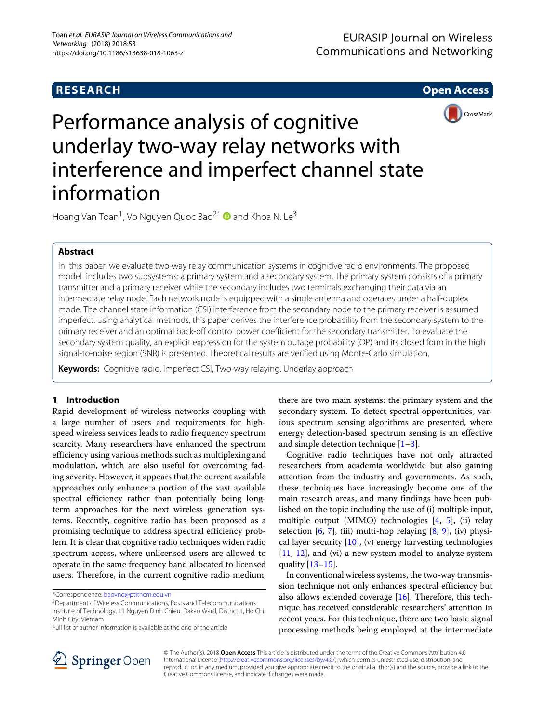**RESEARCH Open Access**



# Performance analysis of cognitive underlay two-way relay networks with interference and imperfect channel state information

Hoang Van Toan<sup>1</sup>, Vo Nguyen Quoc Bao<sup>2\*</sup>  $\bullet$  and Khoa N. Le<sup>3</sup>

# **Abstract**

In this paper, we evaluate two-way relay communication systems in cognitive radio environments. The proposed model includes two subsystems: a primary system and a secondary system. The primary system consists of a primary transmitter and a primary receiver while the secondary includes two terminals exchanging their data via an intermediate relay node. Each network node is equipped with a single antenna and operates under a half-duplex mode. The channel state information (CSI) interference from the secondary node to the primary receiver is assumed imperfect. Using analytical methods, this paper derives the interference probability from the secondary system to the primary receiver and an optimal back-off control power coefficient for the secondary transmitter. To evaluate the secondary system quality, an explicit expression for the system outage probability (OP) and its closed form in the high signal-to-noise region (SNR) is presented. Theoretical results are verified using Monte-Carlo simulation.

**Keywords:** Cognitive radio, Imperfect CSI, Two-way relaying, Underlay approach

# **1 Introduction**

Rapid development of wireless networks coupling with a large number of users and requirements for highspeed wireless services leads to radio frequency spectrum scarcity. Many researchers have enhanced the spectrum efficiency using various methods such as multiplexing and modulation, which are also useful for overcoming fading severity. However, it appears that the current available approaches only enhance a portion of the vast available spectral efficiency rather than potentially being longterm approaches for the next wireless generation systems. Recently, cognitive radio has been proposed as a promising technique to address spectral efficiency problem. It is clear that cognitive radio techniques widen radio spectrum access, where unlicensed users are allowed to operate in the same frequency band allocated to licensed users. Therefore, in the current cognitive radio medium,

\*Correspondence: [baovnq@ptithcm.edu.vn](mailto: baovnq@ptithcm.edu.vn)

2Department of Wireless Communications, Posts and Telecommunications Institute of Technology, 11 Nguyen Dinh Chieu, Dakao Ward, District 1, Ho Chi Minh City, Vietnam

there are two main systems: the primary system and the secondary system. To detect spectral opportunities, various spectrum sensing algorithms are presented, where energy detection-based spectrum sensing is an effective and simple detection technique  $[1-3]$  $[1-3]$ .

Cognitive radio techniques have not only attracted researchers from academia worldwide but also gaining attention from the industry and governments. As such, these techniques have increasingly become one of the main research areas, and many findings have been published on the topic including the use of (i) multiple input, multiple output (MIMO) technologies [\[4,](#page-8-2) [5\]](#page-8-3), (ii) relay selection  $[6, 7]$  $[6, 7]$  $[6, 7]$ , (iii) multi-hop relaying  $[8, 9]$  $[8, 9]$  $[8, 9]$ , (iv) physical layer security  $[10]$ , (v) energy harvesting technologies [\[11,](#page-8-9) [12\]](#page-8-10), and (vi) a new system model to analyze system quality [\[13](#page-8-11)[–15\]](#page-8-12).

In conventional wireless systems, the two-way transmission technique not only enhances spectral efficiency but also allows extended coverage [\[16\]](#page-8-13). Therefore, this technique has received considerable researchers' attention in recent years. For this technique, there are two basic signal processing methods being employed at the intermediate



© The Author(s). 2018 **Open Access** This article is distributed under the terms of the Creative Commons Attribution 4.0 International License [\(http://creativecommons.org/licenses/by/4.0/\)](http://creativecommons.org/licenses/by/4.0/), which permits unrestricted use, distribution, and reproduction in any medium, provided you give appropriate credit to the original author(s) and the source, provide a link to the Creative Commons license, and indicate if changes were made.

Full list of author information is available at the end of the article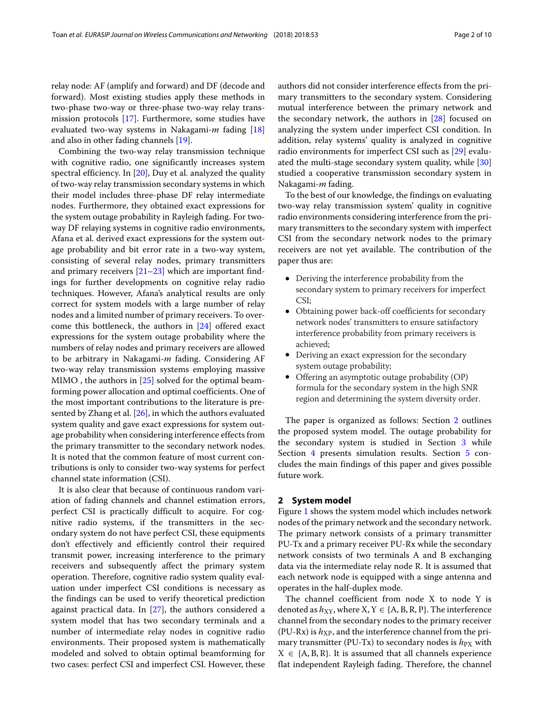relay node: AF (amplify and forward) and DF (decode and forward). Most existing studies apply these methods in two-phase two-way or three-phase two-way relay transmission protocols [\[17\]](#page-8-14). Furthermore, some studies have evaluated two-way systems in Nakagami-*m* fading [\[18\]](#page-8-15) and also in other fading channels [\[19\]](#page-8-16).

Combining the two-way relay transmission technique with cognitive radio, one significantly increases system spectral efficiency. In  $[20]$ , Duy et al. analyzed the quality of two-way relay transmission secondary systems in which their model includes three-phase DF relay intermediate nodes. Furthermore, they obtained exact expressions for the system outage probability in Rayleigh fading. For twoway DF relaying systems in cognitive radio environments, Afana et al. derived exact expressions for the system outage probability and bit error rate in a two-way system, consisting of several relay nodes, primary transmitters and primary receivers [\[21](#page-8-18)[–23\]](#page-8-19) which are important findings for further developments on cognitive relay radio techniques. However, Afana's analytical results are only correct for system models with a large number of relay nodes and a limited number of primary receivers. To overcome this bottleneck, the authors in [\[24\]](#page-8-20) offered exact expressions for the system outage probability where the numbers of relay nodes and primary receivers are allowed to be arbitrary in Nakagami-*m* fading. Considering AF two-way relay transmission systems employing massive MIMO, the authors in [\[25\]](#page-8-21) solved for the optimal beamforming power allocation and optimal coefficients. One of the most important contributions to the literature is presented by Zhang et al. [\[26\]](#page-8-22), in which the authors evaluated system quality and gave exact expressions for system outage probability when considering interference effects from the primary transmitter to the secondary network nodes. It is noted that the common feature of most current contributions is only to consider two-way systems for perfect channel state information (CSI).

It is also clear that because of continuous random variation of fading channels and channel estimation errors, perfect CSI is practically difficult to acquire. For cognitive radio systems, if the transmitters in the secondary system do not have perfect CSI, these equipments don't effectively and efficiently control their required transmit power, increasing interference to the primary receivers and subsequently affect the primary system operation. Therefore, cognitive radio system quality evaluation under imperfect CSI conditions is necessary as the findings can be used to verify theoretical prediction against practical data. In [\[27\]](#page-8-23), the authors considered a system model that has two secondary terminals and a number of intermediate relay nodes in cognitive radio environments. Their proposed system is mathematically modeled and solved to obtain optimal beamforming for two cases: perfect CSI and imperfect CSI. However, these

authors did not consider interference effects from the primary transmitters to the secondary system. Considering mutual interference between the primary network and the secondary network, the authors in [\[28\]](#page-8-24) focused on analyzing the system under imperfect CSI condition. In addition, relay systems' quality is analyzed in cognitive radio environments for imperfect CSI such as [\[29\]](#page-9-0) evaluated the multi-stage secondary system quality, while [\[30\]](#page-9-1) studied a cooperative transmission secondary system in Nakagami-*m* fading.

To the best of our knowledge, the findings on evaluating two-way relay transmission system' quality in cognitive radio environments considering interference from the primary transmitters to the secondary system with imperfect CSI from the secondary network nodes to the primary receivers are not yet available. The contribution of the paper thus are:

- Deriving the interference probability from the secondary system to primary receivers for imperfect CSI;
- Obtaining power back-off coefficients for secondary network nodes' transmitters to ensure satisfactory interference probability from primary receivers is achieved;
- Deriving an exact expression for the secondary system outage probability;
- Offering an asymptotic outage probability (OP) formula for the secondary system in the high SNR region and determining the system diversity order.

The paper is organized as follows: Section [2](#page-1-0) outlines the proposed system model. The outage probability for the secondary system is studied in Section [3](#page-3-0) while Section [4](#page-7-0) presents simulation results. Section [5](#page-8-25) concludes the main findings of this paper and gives possible future work.

#### <span id="page-1-0"></span>**2 System model**

Figure [1](#page-2-0) shows the system model which includes network nodes of the primary network and the secondary network. The primary network consists of a primary transmitter PU-Tx and a primary receiver PU-Rx while the secondary network consists of two terminals A and B exchanging data via the intermediate relay node R. It is assumed that each network node is equipped with a singe antenna and operates in the half-duplex mode.

The channel coefficient from node X to node Y is denoted as  $h_{XY}$ , where X, Y  $\in$  {A, B, R, P}. The interference channel from the secondary nodes to the primary receiver (PU-Rx) is  $h_{\text{XP}}$ , and the interference channel from the primary transmitter (PU-Tx) to secondary nodes is  $h_{PX}$  with  $X \in \{A, B, R\}$ . It is assumed that all channels experience flat independent Rayleigh fading. Therefore, the channel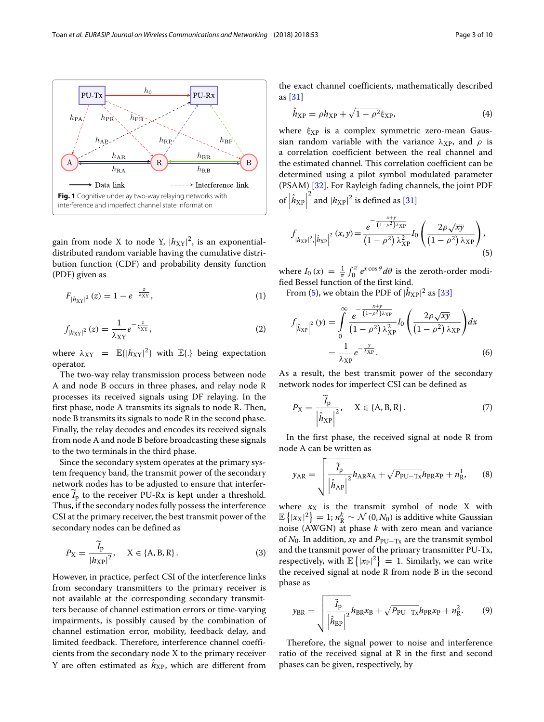

<span id="page-2-0"></span>gain from node X to node Y,  $|h_{XY}|^2$ , is an exponentialdistributed random variable having the cumulative distribution function (CDF) and probability density function (PDF) given as

$$
F_{|h_{XY}|^2}(z) = 1 - e^{-\frac{z}{\lambda_{XY}}},\tag{1}
$$

$$
f_{|h_{XY}|^2}(z) = \frac{1}{\lambda_{XY}} e^{-\frac{z}{\lambda_{XY}}},
$$
\n(2)

where  $\lambda_{XY} = \mathbb{E}\{|h_{XY}|^2\}$  with  $\mathbb{E}\{\cdot\}$  being expectation operator.

The two-way relay transmission process between node A and node B occurs in three phases, and relay node R processes its received signals using DF relaying. In the first phase, node A transmits its signals to node R. Then, node B transmits its signals to node R in the second phase. Finally, the relay decodes and encodes its received signals from node A and node B before broadcasting these signals to the two terminals in the third phase.

Since the secondary system operates at the primary system frequency band, the transmit power of the secondary network nodes has to be adjusted to ensure that interfer- $\frac{1}{2}$ <br>Since<br>tem fre<br>networe ence  $I_p$  to the receiver PU-Rx is kept under a threshold. Thus, if the secondary nodes fully possess the interference CSI at the primary receiver, the best transmit power of the secondary nodes can be defined as *P*<sub>X</sub> =  $\frac{\widetilde{I}_{\text{F}}}{\mu}$ 

$$
P_X = \frac{\widetilde{I}_p}{|h_{XP}|^2}, \quad X \in \{A, B, R\}.
$$
 (3)

However, in practice, perfect CSI of the interference links from secondary transmitters to the primary receiver is not available at the corresponding secondary transmitters because of channel estimation errors or time-varying impairments, is possibly caused by the combination of channel estimation error, mobility, feedback delay, and limited feedback. Therefore, interference channel coefficients from the secondary node X to the primary receiver Y are often estimated as  $\hat{h}_{\text{XP}}$ , which are different from

the exact channel coefficients, mathematically described as [\[31\]](#page-9-2) exact channel co<br><sup>31</sup>]<br> $\hat{h}_{XP} = \rho h_{XP} + \sqrt{2h_{RP}^2 + \rho^2 h_{RP}^2}$ 

$$
\hat{h}_{XP} = \rho h_{XP} + \sqrt{1 - \rho^2} \xi_{XP},
$$
\n(4)

where  $\xi_{XP}$  is a complex symmetric zero-mean Gaussian random variable with the variance  $\lambda_{\text{XP}}$ , and  $\rho$  is a correlation coefficient between the real channel and the estimated channel. This correlation coefficient can be determined using a pilot symbol modulated parameter of  $\left| \hat{h}_{\rm XP} \right|^2$  and  $\left| h_{\rm XP} \right|^2$  is defined as [\[31\]](#page-9-2)

(PSAM) [32]. For Rayleigh fading channels, the joint PDF  
of 
$$
|\hat{h}_{XP}|^2
$$
 and  $|h_{XP}|^2$  is defined as [31]  

$$
\int_{|h_{XP}|^2, |\hat{h}_{XP}|^2} (x, y) = \frac{e^{-\frac{x+y}{(1-\rho^2)\lambda_{XP}}}}{(1-\rho^2)\lambda_{XP}^2} I_0\left(\frac{2\rho\sqrt{xy}}{(1-\rho^2)\lambda_{XP}}\right),
$$
(5)

where  $I_0(x) = \frac{1}{\pi}$ fied Bessel function of the first kind.  $\sqrt{2}$   $\sqrt{2}$ 

<span id="page-2-2"></span>From [\(5\)](#page-2-1), we obtain the PDF of  $|\hat{h}_{\text{XP}}|^2$  as [\[33\]](#page-9-4)

<span id="page-2-1"></span>here 
$$
I_0(x) = \frac{1}{\pi} \int_0^{\pi} e^{x \cos \theta} d\theta
$$
 is the zeroth-order modi-  
d Bessel function of the first kind.  
\nFrom (5), we obtain the PDF of  $|\hat{h}_{XP}|^2$  as [33]  
\n
$$
f_{|\hat{h}_{XP}|^2}(y) = \int_0^{\infty} \frac{e^{-\frac{x+y}{(1-\rho^2)\lambda_{XP}}}}{(1-\rho^2)\lambda_{XP}^2} I_0\left(\frac{2\rho\sqrt{xy}}{(1-\rho^2)\lambda_{XP}}\right) dx
$$
\n
$$
= \frac{1}{\lambda_{XP}} e^{-\frac{y}{\lambda_{XP}}}.
$$
\n(6)

As a result, the best transmit power of the secondary network nodes for imperfect CSI can be defined as lt, th<br>...

a result, the best transmit power of the secondary  
work nodes for imperfect CSI can be defined as  

$$
P_X = \frac{\widetilde{I}_p}{|\hat{h}_{XP}|^2}, \quad X \in \{A, B, R\}.
$$
 (7)

 $\begin{bmatrix} h_{\text{XP}} \\ h_{\text{NP}} \end{bmatrix}$ <br>In the first phase, the received signal at node R from node A can be written as

The first phase, the received signal at node R from  
\nthe A can be written as  
\n
$$
y_{AR} = \sqrt{\frac{\tilde{I}_{p}}{|\hat{h}_{AP}|^{2}}} h_{AR}x_{A} + \sqrt{P_{PU-Tx}} h_{PR}x_{P} + n_{R}^{1},
$$
\n(8)

where  $x_X$  is the transmit symbol of node X with wh<br>E {  $|x_{\text{X}}|^2$  = 1;  $n_{\text{R}}^k \sim \mathcal{N}(0, N_0)$  is additive white Gaussian noise (AWGN) at phase *k* with zero mean and variance of *N*0. In addition, *x*<sup>P</sup> and *P*PU−Tx are the transmit symbol and the transmit power of the primary transmitter PU-Tx,  $\mathbb{E}\left\{|x_X|^2\right\}=1; n_R^{\kappa} \sim .$ noise (AWGN) at phorf  $N_0$ . In addition,  $x_P$  and the transmit pownespectively, with  $\mathbb{E}\left\{$ ly, with  $\mathbb{E}\{|x_{P}|^2\} = 1$ . Similarly, we can write<br>ed signal at node R from node B in the second the received signal at node R from node B in the second phase as  $\frac{1}{2}$  at node R<br>  $\frac{1}{2}$ <br>  $\frac{1}{2}$ <br>  $\frac{1}{2}$ <br>  $\frac{1}{2}$ <br>  $\frac{1}{2}$ 

$$
y_{BR} = \sqrt{\frac{\tilde{I}_{p}}{|\hat{h}_{BP}|^{2}}} h_{BR} x_{B} + \sqrt{P_{PU-Tx}} h_{PR} x_{P} + n_{R}^{2}.
$$
 (9)

Therefore, the signal power to noise and interference ratio of the received signal at R in the first and second phases can be given, respectively, by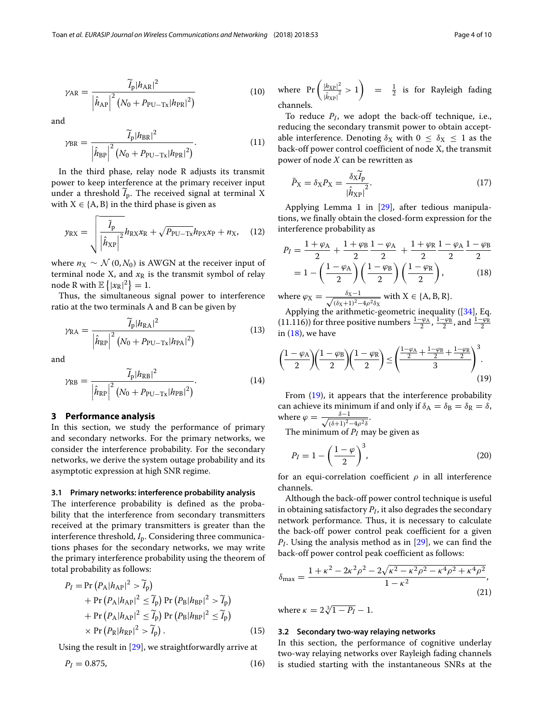$$
\gamma_{AR} = \frac{\widetilde{I}_{p} |h_{AR}|^{2}}{\left|\widehat{h}_{AP}\right|^{2} \left(N_{0} + P_{PU-Tx}|h_{PR}|^{2}\right)}
$$
(10)

and

$$
\hat{h}_{AP} \Big|^{2} (N_{0} + P_{PU-Tx}|h_{PR}|^{2})
$$
  

$$
\gamma_{BR} = \frac{\widetilde{I}_{p}|h_{BR}|^{2}}{|\hat{h}_{BP}|^{2} (N_{0} + P_{PU-Tx}|h_{PR}|^{2})}.
$$
 (11)

In the third phase, relay node R adjusts its transmit power to keep interference at the primary receiver input <sup>*IPBP*  $( N_0 + P_{PU-Tx} |^p$  *IPP I I*<br>In the third phase, relay node R adjusts its transmit<br>power to keep interference at the primary receiver input<br>under a threshold  $\tilde{I}_p$ . The received signal at terminal X<br>with  $Y \$ with  $X \in \{A, B\}$  in the third phase is given as  $\tilde{I}_{\text{p}}$ . The records the state of  $\tilde{I}_{\text{p}}$ . The records the state of  $\frac{1}{2}h_{\text{RX}}x_{\text{R}} + \sqrt{2}$ 

$$
y_{\rm RX} = \sqrt{\frac{\tilde{I}_{\rm p}}{\left|\hat{h}_{\rm XP}\right|^2}h_{\rm RX}x_{\rm R} + \sqrt{P_{\rm PU-Tx}}h_{\rm PX}x_{\rm P} + n_{\rm X}},\quad(12)
$$

where  $n_X \sim \mathcal{N}(0, N_0)$  is AWGN at the receiver input of terminal node X, and  $x<sub>R</sub>$  is the transmit symbol of relay where  $n_X \sim \mathcal{N}$ <br>terminal node 2<br>node R with  $\mathbb{E}\left\{\right.$  $|x_{\rm R}|^2$  = 1.

Thus, the simultaneous signal power to interference ratio at the two terminals A and B can be given by le R with  $\mathbb{E}\left\{|x_R|^2\right\}$ <br>hus, the simultan<br>o at the two termin<br> $\gamma_{\text{RA}} = \frac{\widetilde{I}_{\text{R}}}{\sqrt{2\pi}}$  $\frac{1}{2}$  two f

nus, the simultaneous signal power to interference  
to at the two terminals A and B can be given by  

$$
\gamma_{\text{RA}} = \frac{\widetilde{I}_{\text{p}} |h_{\text{RA}}|^2}{\left|\widehat{h}_{\text{RP}}\right|^2 \left(N_0 + P_{\text{PU-Tx}} |h_{\text{PA}}|^2\right)}
$$
(13)

and

$$
\hat{h}_{\rm RP} \Big|^2 (N_0 + P_{\rm PU-Tx} |h_{\rm PA}|^2)
$$
  

$$
\gamma_{\rm RB} = \frac{\widetilde{I}_{\rm p} |h_{\rm RB}|^2}{\left| \hat{h}_{\rm RP} \right|^2 (N_0 + P_{\rm PU-Tx} |h_{\rm PB}|^2)}.
$$
 (14)

# <span id="page-3-0"></span>**3 Performance analysis**

In this section, we study the performance of primary and secondary networks. For the primary networks, we consider the interference probability. For the secondary networks, we derive the system outage probability and its asymptotic expression at high SNR regime.

#### **3.1 Primary networks: interference probability analysis**

The interference probability is defined as the probability that the interference from secondary transmitters received at the primary transmitters is greater than the interference threshold, *I*p. Considering three communications phases for the secondary networks, we may write<br>the primary interference probability using the theorem of<br>total probability as follows:<br> $P_I = Pr (P_A | h_{AP} |^2 > \tilde{I}_p)$ the primary interference probability using the theorem of eseco<br>
ence p<br>
pllows<br>  $2 > \widetilde{I}_{\rm R}$ 

the primary interference probability using the theorem of  
total probability as follows:  

$$
P_I = \Pr (P_A | h_{AP}|^2 > \widetilde{I}_p)
$$

$$
+ \Pr (P_A | h_{AP}|^2 \leq \widetilde{I}_p) \Pr (P_B | h_{BP}|^2 > \widetilde{I}_p)
$$

$$
+ \Pr (P_A | h_{AP}|^2 \leq \widetilde{I}_p) \Pr (P_B | h_{BP}|^2 \leq \widetilde{I}_p)
$$

$$
\times \Pr (P_R | h_{RP}|^2 > \widetilde{I}_p).
$$
(15)

Using the result in [\[29\]](#page-9-0), we straightforwardly arrive at

$$
P_I = 0.875,\tag{16}
$$

where  $Pr\left(\frac{|h_{XP}|^2}{\frac{2}{n}}\right)$  $\frac{|h_{\text{XP}}|^2}{|\hat{h}_{\text{XP}}|^2} > 1$  =  $\frac{1}{2}$  is for Rayleigh fading channels.

<span id="page-3-3"></span>To reduce  $P_I$ , we adopt the back-off technique, i.e., reducing the secondary transmit power to obtain acceptable interference. Denoting  $\delta_X$  with  $0 \leq \delta_X \leq 1$  as the back-off power control coefficient of node X, the transmit power of node *X* can be rewritten as *P* interference. Denote k-off power control<br>*P*x of node *X* can be<br> $\bar{P}_X = \delta_X P_X = \frac{\delta_X \widetilde{I}_Y}{\delta_X}$ 

$$
\bar{P}_{\mathbf{X}} = \delta_{\mathbf{X}} P_{\mathbf{X}} = \frac{\delta_{\mathbf{X}} \widetilde{I}_{\mathbf{p}}}{\left| \widehat{h}_{\mathbf{X}\mathbf{p}} \right|^2}.
$$
\n(17)

Applying Lemma 1 in [\[29\]](#page-9-0), after tedious manipulations, we finally obtain the closed-form expression for the<br>interference probability as

interference probability as  
\n
$$
P_I = \frac{1 + \varphi_A}{2} + \frac{1 + \varphi_B}{2} \frac{1 - \varphi_A}{2} + \frac{1 + \varphi_R}{2} \frac{1 - \varphi_A}{2} \frac{1 - \varphi_B}{2}
$$
\n
$$
= 1 - \left(\frac{1 - \varphi_A}{2}\right) \left(\frac{1 - \varphi_B}{2}\right) \left(\frac{1 - \varphi_R}{2}\right), \quad (18)
$$

<span id="page-3-1"></span>where  $\varphi_{\rm X} = \frac{\delta_{\rm X}-1}{\sqrt{(\delta_{\rm X}+1)^2}}$  $\frac{\delta x - 1}{(\delta x + 1)^2 - 4\rho^2 \delta x}$  with  $X \in \{A, B, R\}.$ 

Applying the arithmetic-geometric inequality ([\[34\]](#page-9-5), Eq. (11.116)) for three positive numbers  $\frac{1-\varphi_A}{2}$ ,  $\frac{1-\varphi_B}{2}$ , and  $\frac{1-\varphi_B}{2}$ in  $(18)$ , we have Applying the arithmetic-geometric inequality ([34],

$$
\left(\frac{1-\varphi_A}{2}\right)\left(\frac{1-\varphi_B}{2}\right)\left(\frac{1-\varphi_R}{2}\right) \le \left(\frac{\frac{1-\varphi_A}{2} + \frac{1-\varphi_B}{2} + \frac{1-\varphi_R}{2}}{3}\right)^3. \tag{19}
$$

From [\(19\)](#page-3-2), it appears that the interference probability can achieve its minimum if and only if  $\delta_A = \delta_B = \delta_R = \delta$ , where  $\varphi = \frac{\delta - 1}{\sqrt{(\delta + 1)^2}}$  $\frac{\delta-1}{(\delta+1)^2-4\rho^2\delta}$ 

The minimum of  $P_I$  may be given as

<span id="page-3-2"></span>
$$
P_I = 1 - \left(\frac{1-\varphi}{2}\right)^3,\tag{20}
$$

for an equi-correlation coefficient  $\rho$  in all interference channels.

Although the back-off power control technique is useful in obtaining satisfactory  $P_I$ , it also degrades the secondary network performance. Thus, it is necessary to calculate the back-off power control peak coefficient for a given *PI*. Using the analysis method as in [\[29\]](#page-9-0), we can find the back-off power control peak coefficient as follows:

$$
\delta_{\max} = \frac{1 + \kappa^2 - 2\kappa^2 \rho^2 - 2\sqrt{\kappa^2 - \kappa^2 \rho^2 - \kappa^4 \rho^2 + \kappa^4 \rho^2}}{1 - \kappa^2},
$$
\n(21)

where  $\kappa = 2\sqrt[3]{1 - P_I} - 1$ .

# **3.2 Secondary two-way relaying networks**

In this section, the performance of cognitive underlay two-way relaying networks over Rayleigh fading channels is studied starting with the instantaneous SNRs at the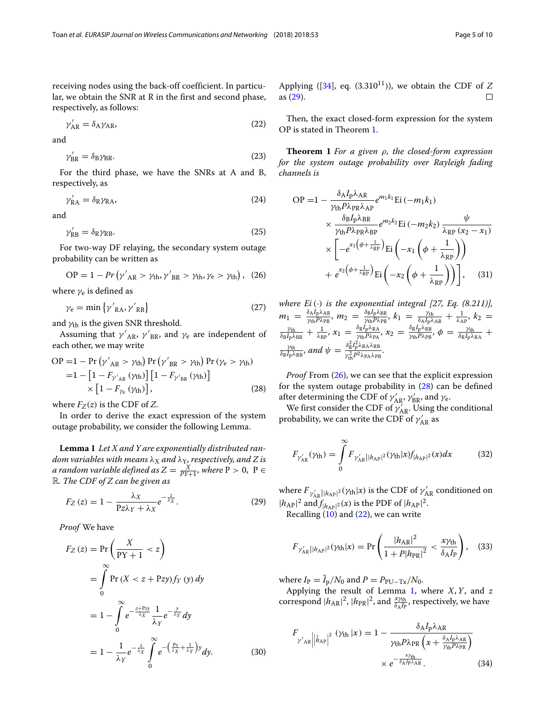receiving nodes using the back-off coefficient. In particular, we obtain the SNR at R in the first and second phase, respectively, as follows:

$$
\gamma_{AR}' = \delta_A \gamma_{AR},\tag{22}
$$

and

$$
\gamma_{\rm BR}' = \delta_{\rm B} \gamma_{\rm BR}. \tag{23}
$$

For the third phase, we have the SNRs at A and B, respectively, as

$$
\gamma_{\rm RA}^{\prime} = \delta_{\rm R} \gamma_{\rm RA},\tag{24}
$$

and

$$
\gamma_{\rm RB}' = \delta_{\rm R} \gamma_{\rm RB}.\tag{25}
$$

For two-way DF relaying, the secondary system outage probability can be written as  $γ'_RB = δ_RγRB$ .<br>
or two-way DF relaying, the secondary system<br>
bability can be written as<br>
OP = 1 – *Pr* (γ'<sub>AR</sub> > γ<sub>th</sub>, γ'<sub>BR</sub> > γ<sub>th</sub>, γ<sub>'e</sub> > γ<sub>th</sub>)

$$
OP = 1 - Pr(\gamma'_{AR} > \gamma_{th}, \gamma'_{BR} > \gamma_{th}, \gamma_{e} > \gamma_{th}), (26)
$$
  
here  $\gamma_e$  is defined as  

$$
\gamma_e = \min{\{\gamma'_{RA}, \gamma'_{RB}\}}
$$
 (27)

where  $\gamma_{\rm e}$  is defined as

$$
\gamma_{\rm e} = \min \left\{ \gamma'_{\rm RA}, \gamma'_{\rm RB} \right\} \tag{27}
$$

and  $\gamma_{th}$  is the given SNR threshold.<br>Assuming that  $\gamma'_{AR}$ ,  $\gamma'_{BR}$ , and<br>each other, we may write<br>OP =1 – Pr ( $\gamma'_{AR} > \gamma_{th}$ ) Pr ( $\gamma'_{BR}$ Assuming that  ${\gamma'}_{\mathrm{AR}},\ {\gamma'}_{\mathrm{BR}},$  and  $\gamma_{\mathrm{e}}$  are independent of old.<br>nd  $\gamma_e$  are<br> $_{\rm BR}$  >  $\gamma_{\rm th}$ )

Assuming that 
$$
\gamma'_{AR}
$$
,  $\gamma'_{BR}$ , and  $\gamma_e$  are independent of  
each other, we may write  
OP =1 - Pr( $\gamma'_{AR} > \gamma_{th}$ ) Pr( $\gamma'_{BR} > \gamma_{th}$ ) Pr( $\gamma_e > \gamma_{th}$ )  
=1 - [1 - F <sub>$\gamma'_{AR}$</sub> ( $\gamma_{th}$ )] [1 - F <sub>$\gamma'_{BR}$</sub> ( $\gamma_{th}$ )]  
 $\times$  [1 - F <sub>$\gamma_e$</sub> ( $\gamma_{th}$ )], (28)

where  $F_Z(z)$  is the CDF of *Z*.

In order to derive the exact expression of the system outage probability, we consider the following Lemma.

<span id="page-4-5"></span>**Lemma 1** *Let X and Y are exponentially distributed random variables with means*  $\lambda_X$  *and*  $\lambda_Y$ *, respectively, and* Z *is a random variable defined as*  $Z = \frac{X}{PY+1}$ *, where*  $P > 0$ ,  $P \in \mathbb{R}^n$ R*. The CDF of Z can be given as*

$$
F_Z(z) = 1 - \frac{\lambda_X}{P_Z \lambda_Y + \lambda_X} e^{-\frac{z}{\lambda_X}}.
$$
 (29)

*Proof* We have lč

$$
F_Z(z) = 1 - \frac{\lambda_X}{P_{Z\lambda_Y} + \lambda_X} e^{-\frac{z}{\lambda_X}}.
$$
\n(29)  
\nProof We have  
\n
$$
F_Z(z) = \Pr\left(\frac{X}{PY+1} < z\right)
$$
\n
$$
= \int_{0}^{\infty} \Pr(X < z + Pzy) f_Y(y) dy
$$
\n
$$
= 1 - \int_{0}^{\infty} e^{-\frac{z+Pzy}{\lambda_X}} \frac{1}{\lambda_Y} e^{-\frac{y}{\lambda_Y}} dy
$$
\n
$$
= 1 - \frac{1}{\lambda_Y} e^{-\frac{z}{\lambda_X}} \int_{0}^{\infty} e^{-\left(\frac{P_z}{\lambda_X} + \frac{1}{\lambda_Y}\right)y} dy.
$$
\n(30)

Applying  $([34], eq. (3.310<sup>11</sup>))$  $([34], eq. (3.310<sup>11</sup>))$  $([34], eq. (3.310<sup>11</sup>))$ , we obtain the CDF of *Z*  $\Box$ as [\(29\)](#page-4-0).

<span id="page-4-4"></span>Then, the exact closed-form expression for the system OP is stated in Theorem [1.](#page-4-1)

<span id="page-4-1"></span>**Theorem 1** *For a given* ρ*, the closed-form expression for the system outage probability over Rayleigh fading channels is*

$$
OP = 1 - \frac{\delta_A I_p \lambda_{AR}}{\gamma_{th} P \lambda_{PR} \lambda_{AP}} e^{m_1 k_1} Ei \left(-m_1 k_1\right) \times \frac{\delta_B I_p \lambda_{BR}}{\gamma_{th} P \lambda_{PR} \lambda_{BP}} e^{m_2 k_2} Ei \left(-m_2 k_2\right) \frac{\psi}{\lambda_{RP} \left(x_2 - x_1\right)} \times \left[ -e^{x_1 \left(\phi + \frac{1}{\lambda_{RP}}\right)} Ei \left(-x_1 \left(\phi + \frac{1}{\lambda_{RP}}\right)\right) \right] \times e^{x_2 \left(\phi + \frac{1}{\lambda_{RP}}\right)} Ei \left(-x_2 \left(\phi + \frac{1}{\lambda_{RP}}\right)\right) \right], \quad (31)
$$

<span id="page-4-7"></span><span id="page-4-2"></span>*where Ei*(·) *is the exponential integral [27, Eq. (8.211)],*  $m_1 \, = \, \frac{\delta_{\rm A} I_{\rm p} \lambda_{\rm AR}}{\gamma_{\rm th} P \lambda_{\rm PR}}, \, m_2 \, = \, \frac{\delta_{\rm B} I_{\rm p} \lambda_{\rm BR}}{\gamma_{\rm th} P \lambda_{\rm PR}}, \, k_1 \, = \, \frac{\gamma_{\rm th}}{\delta_{\rm A} I_{\rm p} \lambda_{\rm AR}} \, + \, \frac{1}{\lambda_{\rm AP}}, \, k_2 \, = \,$  $\frac{\gamma_{\text{th}}}{\delta_B I_p \lambda_{\text{BR}}} + \frac{1}{\lambda_{\text{BP}}}, x_1 = \frac{\delta_{\text{R}} I_p \lambda_{\text{RA}}}{\gamma_{\text{th}} P \lambda_{\text{PA}}}, x_2 = \frac{\delta_{\text{R}} I_p \lambda_{\text{RB}}}{\gamma_{\text{th}} P \lambda_{\text{PB}}}, \phi = \frac{\gamma_{\text{th}}}{\delta_{\text{R}} I_p \lambda_{\text{RA}}} + \frac{1}{\delta_{\text{R}} I_p \lambda_{\text{RA}}}, x_3 = \frac{1}{\delta_{\text{R}} I_p \lambda_{\text{RB}}}, x_4 = \frac{1}{\$  $\frac{\gamma_{\rm th}}{\delta_{\rm R} I_{\rm p} \lambda_{\rm RB}}$ , and  $\psi = \frac{\delta_{\rm R}^2 I_{\rm p}^2 \lambda_{\rm RA} \lambda_{\rm RB}}{\gamma_{\rm th}^2 P^2 \lambda_{\rm PA} \lambda_{\rm PB}}$  $\frac{\partial R^2 P^2 R A^2 R B}{\partial^2 \lambda_{PA} \lambda_{PB}}$ .

<span id="page-4-3"></span>*Proof* From [\(26\)](#page-4-2), we can see that the explicit expression for the system outage probability in  $(28)$  can be defined after determining the CDF of  $\gamma'_{\rm AR}, \gamma'_{\rm BR},$  and  $\gamma_{\rm e}.$ 

We first consider the CDF of  $\gamma_{AR}$ . Using the conditional probability, we can write the CDF of  $\gamma_{\rm AR}'$  as

$$
F_{\gamma_{AR}'}(\gamma_{\text{th}}) = \int_{0}^{\infty} F_{\gamma_{AR}'} ||h_{AP}|^{2} (\gamma_{\text{th}} |x) f_{|h_{AP}|^{2}}(x) dx \qquad (32)
$$

<span id="page-4-0"></span>where  $F_{\gamma_{AR}^{\prime}}|_{|h_{AP}|^2}(\gamma_{th}|x)$  is the CDF of  $\gamma_{AR}^{\prime}$  conditioned on  $|h_{AP}|^2$  and  $f_{|h_{AP}|^2}(x)$  is the PDF of  $|h_{AP}|^2$ .<br>
Recalling (10) and (22), we can write<br>  $F_{\gamma_{AR}^{\prime}}||h_{AP}|^2(\gamma_{th}|x) = \Pr \left( \frac{|h_{AR}|^2}{1+|P|h_{AP}|^2} \right)$ 

Recalling  $(10)$  and  $(22)$ , we can write

$$
F_{\gamma_{AR}^{'}}||h_{AP}|^{2}(\gamma_{th}|x) = \Pr\left(\frac{|h_{AR}|^{2}}{1+P|h_{PR}|^{2}} < \frac{x\gamma_{th}}{\delta_{A}I_{P}}\right), \quad (33)
$$

where  $I_P = \tilde{I}_P/N_0$  and  $P = P_{PU-Tx}/N_0$ .

Applying the result of Lemma [1,](#page-4-5) where *X*, *Y*, and *z* correspond  $|h_{AR}|^2$ ,  $|h_{PR}|^2$ , and  $\frac{x\gamma_{th}}{\delta_A I_P}$ , respectively, we have

<span id="page-4-6"></span>
$$
F_{\gamma'_{AR}} \Big| |\hat{h}_{AP}|^2, |h_{PR}|^2, \text{ and } \frac{x \gamma_{th}}{\delta_A I_P}, \text{ respectively, we have}
$$
\n
$$
F_{\gamma'_{AR}} \Big| |\hat{h}_{AP}|^2 \left( \gamma_{th} | x \right) = 1 - \frac{\delta_A I_P \lambda_{AR}}{\gamma_{th} P \lambda_{PR} \left( x + \frac{\delta_A I_P \lambda_{AR}}{\gamma_{th} P \lambda_{PR}} \right)}
$$
\n
$$
\times e^{-\frac{x \gamma_{th}}{\delta_A I_P \lambda_{AR}}}.
$$
\n(34)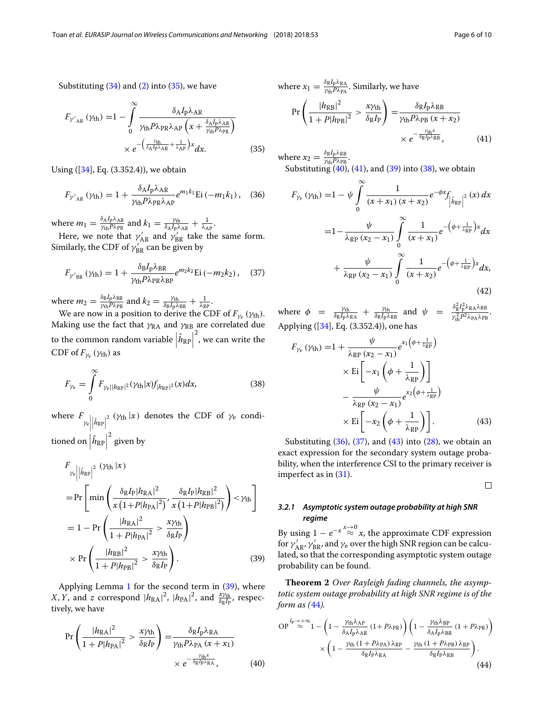Substituting (34) and (2) into (35), we have  
\n
$$
F_{\gamma'_{AR}}(\gamma_{th}) = 1 - \int_{0}^{\infty} \frac{\delta_A I_p \lambda_{AR}}{\gamma_{th} P \lambda_{PR} \lambda_{AP} \left(x + \frac{\delta_A I_p \lambda_{AR}}{\gamma_{th} P \lambda_{PR}}\right)}
$$
\n
$$
\times e^{-\left(\frac{\gamma_{th}}{\delta_A I_p \lambda_{AR}} + \frac{1}{\lambda_{AP}}\right)x} dx.
$$
\n(35)

Using ([\[34\]](#page-9-5), Eq. (3.352.4)), we obtain

$$
F_{\gamma'_{AR}}\left(\gamma_{th}\right) = 1 + \frac{\delta_A I_p \lambda_{AR}}{\gamma_{th} P \lambda_{PR} \lambda_{AP}} e^{m_1 k_1} \text{Ei} \left(-m_1 k_1\right), \quad (36)
$$

where  $m_1 = \frac{\delta_A I_p \lambda_{AR}}{\gamma_{th} P \lambda_{PR}}$  and  $k_1 = \frac{\gamma_{th}}{\delta_A I_p \lambda_{AR}} + \frac{1}{\lambda_{AP}}$ .

Here, we note that  $\gamma'_{AR}$  and  $\gamma'_{BR}$  take the same form. Similarly, the CDF of  $\gamma'_{BR}$  can be given by

$$
F_{\gamma'_{BR}}(\gamma_{th}) = 1 + \frac{\delta_B I_p \lambda_{BR}}{\gamma_{th} P \lambda_{PR} \lambda_{BP}} e^{m_2 k_2} \text{Ei} \left(-m_2 k_2\right), \quad (37)
$$

where  $m_2 = \frac{\delta_B I_p \lambda_{BR}}{\gamma_{th} P \lambda_{PR}}$  and  $k_2 = \frac{\gamma_{th}}{\delta_B I_p \lambda_{BR}} + \frac{1}{\lambda_{BP}}$ .  $\frac{1}{\lambda}$  $+$ 

We are now in a position to derive the CDF of  $F_{\gamma_e}$  ( $\gamma_{\rm th}$ ). Making use the fact that  $\gamma_{RA}$  and  $\gamma_{RB}$  are correlated due to the common random variable  $\left| \hat{h}_\text{RP} \right|^2$ , we can write the CDF of  $F_{\gamma_e}(\gamma_{\text{th}})$  as

$$
F_{\gamma_{e}} = \int_{0}^{\infty} F_{\gamma_{e}||h_{\rm RP}|^{2}}(\gamma_{\rm th}|x) f_{|h_{\rm RP}|^{2}}(x) dx, \qquad (38)
$$

where  $F_{\gamma_e}$   $\left|\hat{h}_\text{RP}\right|^2$  ( $\gamma_\text{th}$   $|x\rangle$ ) denotes the CDF of  $\gamma_\text{e}$  condi-

tioned on  $\left| \hat{h}_\text{RP} \right|^2$  given by  $\mathsf{C}$ 

ned on 
$$
|\hat{h}_{RP}|^2
$$
 given by  
\n
$$
F_{\gamma_e} ||\hat{h}_{RP}|^2 \frac{(\gamma_{th} | x)}{(\gamma_{th} | x)}
$$
\n
$$
= Pr \left[ min \left( \frac{\delta_R I_P |h_{RA}|^2}{x (1 + P |h_{PA}|^2)}, \frac{\delta_R I_P |h_{RB}|^2}{x (1 + P |h_{PB}|^2)} \right) < \gamma_{th} \right]
$$
\n
$$
= 1 - Pr \left( \frac{|h_{RA}|^2}{1 + P |h_{PA}|^2} > \frac{x \gamma_{th}}{\delta_R I_P} \right)
$$
\n
$$
\times Pr \left( \frac{|h_{RB}|^2}{1 + P |h_{PB}|^2} > \frac{x \gamma_{th}}{\delta_R I_P} \right). \tag{39}
$$

Applying Lemma [1](#page-4-5) for the second term in [\(39\)](#page-5-1), where *X*, *Y*, and *z* correspond  $|h_{\text{RA}}|^2$ ,  $|h_{\text{PA}}|^2$ , and  $\frac{x\gamma_{\text{th}}}{\delta_{\text{R}}I_{\text{P}}}$ , respectively, we have pplying Lem<br> *'*, and *z* corr<br>
ly, we have<br>
Pr  $\left(\frac{|h_{\text{RA}}|}{\sqrt{h_{\text{RA}}}}\right)$ 

$$
\Pr\left(\frac{|h_{\text{RA}}|^2}{1+P|h_{\text{PA}}|^2} > \frac{x\gamma_{\text{th}}}{\delta_{\text{R}}I_{\text{P}}}\right) = \frac{\delta_{\text{R}}I_{\text{P}}\lambda_{\text{RA}}}{\gamma_{\text{th}}P\lambda_{\text{PA}}\left(x+x_1\right)} \times e^{-\frac{\gamma_{\text{th}}x}{\delta_{\text{R}}I_{\text{P}}\lambda_{\text{RA}}}},\tag{40}
$$

where  $x_1 = \frac{\delta_{\rm R} I_{\rm p} \lambda_{\rm RA}}{\gamma_{\rm th} P \lambda_{\rm PA}}$ . Similarly, we have ere  $x_1 = \frac{\delta_R I_p}{\gamma_{th} P}$ <br>Pr  $\left(\frac{|h_{RB}|}{\gamma_{th} P}\right)$ 2  $\frac{|h_{RB}|^2}{1 + P|h_{PB}|^2} > \frac{x\gamma_{\text{th}}}{\delta_R I_P}$  $=\frac{\delta_{\rm R}I_{\rm p}\lambda_{\rm RB}}{\gamma_{\rm th}P\lambda_{\rm PB}(x+x_2)}$  $\times e^{-\frac{\gamma_{\text{th}} x}{\delta_{\text{R}} I_p \lambda_{\text{RB}}}},$  (41)

<span id="page-5-5"></span><span id="page-5-0"></span>where  $x_2 = \frac{\delta_{\rm R} I_{\rm p} \lambda_{\rm RB}}{\gamma_{\rm th} P \lambda_{\rm PB}}$ . Substituting  $(40)$ ,  $(41)$ , and  $(39)$  into  $(38)$ , we obtain t

substituting (40), (41), and (39) into (38), we obtain  
\n
$$
F_{\gamma_e} (\gamma_{th}) = 1 - \psi \int_{0}^{\infty} \frac{1}{(x + x_1) (x + x_2)} e^{-\phi x} f_{|\hat{h}_{RP}|^2} (x) dx
$$
\n
$$
= 1 - \frac{\psi}{\lambda_{RP} (x_2 - x_1)} \int_{0}^{\infty} \frac{1}{(x + x_1)} e^{-\left(\phi + \frac{1}{\lambda_{RP}}\right)x} dx
$$
\n
$$
+ \frac{\psi}{\lambda_{RP} (x_2 - x_1)} \int_{0}^{\infty} \frac{1}{(x + x_2)} e^{-\left(\phi + \frac{1}{\lambda_{RP}}\right)x} dx,
$$

<span id="page-5-3"></span>
$$
(42)
$$

<span id="page-5-6"></span>where  $\phi = \frac{\gamma_{\text{th}}}{\delta_R I_p \lambda_{\text{RA}}} + \frac{\gamma_{\text{th}}}{\delta_R I_p \lambda_{\text{RB}}}$  and  $\psi = \frac{\delta_R^2 I_p^2 \lambda_{\text{RA}} \lambda_{\text{RB}}}{\gamma_n^2 P^2 \lambda_{\text{PA}} \lambda_{\text{PR}}}$ nd  $\psi = \frac{\delta_R^2 I_P^2 \lambda_{\rm RA} \lambda_{\rm RB}}{\gamma_{\rm th}^2 P^2 \lambda_{\rm PA} \lambda_{\rm PB}}.$ <br>
aas<br>  $\left(\phi + \frac{1}{\lambda_{\rm RP}}\right)$ 

<span id="page-5-4"></span>Applying ([34], Eq. (3.352.4)), one has  
\n
$$
F_{\gamma_e}(\gamma_{th}) = 1 + \frac{\psi}{\lambda_{RP}(x_2 - x_1)} e^{x_1(\phi + \frac{1}{\lambda_{RP}})}
$$
\n
$$
\times Ei \left[ -x_1 \left( \phi + \frac{1}{\lambda_{RP}} \right) \right]
$$
\n
$$
- \frac{\psi}{\lambda_{RP}(x_2 - x_1)} e^{x_2(\phi + \frac{1}{\lambda_{RP}})}
$$
\n
$$
\times Ei \left[ -x_2 \left( \phi + \frac{1}{\lambda_{RP}} \right) \right].
$$
\n(43)

Substituting  $(36)$ ,  $(37)$ , and  $(43)$  into  $(28)$ , we obtain an exact expression for the secondary system outage probability, when the interference CSI to the primary receiver is imperfect as in [\(31\)](#page-4-7).

<span id="page-5-7"></span> $\Box$ 

# *3.2.1 Asymptotic system outage probability at high SNR regime*

By using  $1 - e^{-x} \stackrel{x \to 0}{\approx} x$ , the approximate CDF expression for  $\gamma'_{\rm AR}$ ,  $\gamma'_{\rm BR}$ , and  $\gamma_{\rm e}$  over the high SNR region can be calculated, so that the corresponding asymptotic system outage probability can be found.

<span id="page-5-1"></span>**Theorem 2** *Over Rayleigh fading channels, the asymptheorem 2 Over Kayleigh Jaamg channels, the asymptotic system outage probability at high SNR regime is of the***<br>form as (44).** *form as (*[44](#page-5-8)*).*

<span id="page-5-8"></span><span id="page-5-2"></span>
$$
OP^{I_{P}\to+\infty}1 - \left(1 - \frac{\gamma_{th}\lambda_{AP}}{\delta_{A}I_{P}\lambda_{AR}}\left(1 + P\lambda_{PR}\right)\right)\left(1 - \frac{\gamma_{th}\lambda_{BP}}{\delta_{A}I_{P}\lambda_{BR}}\left(1 + P\lambda_{PR}\right)\right) \times \left(1 - \frac{\gamma_{th}\left(1 + P\lambda_{PR}\right)\lambda_{RP}}{\delta_{R}I_{P}\lambda_{RA}} - \frac{\gamma_{th}\left(1 + P\lambda_{PB}\right)\lambda_{RP}}{\delta_{R}I_{P}\lambda_{RB}}\right). \tag{44}
$$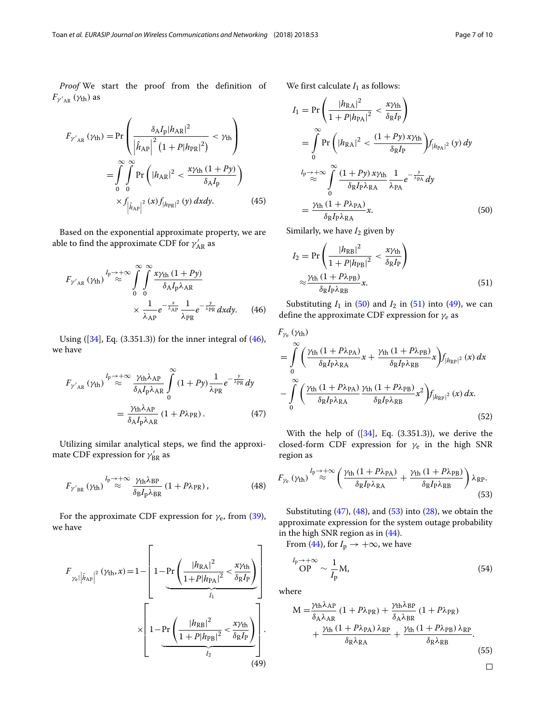Proof We start the proof from the definition of  $F_{\gamma'{}_{\rm AR}}\left(\gamma_{\rm th}\right)$  as

$$
F_{\gamma'_{AR}}(\gamma_{th}) = \Pr\left(\frac{\delta_A I_p |h_{AR}|^2}{|\hat{h}_{AP}|^2 (1 + P|h_{PR}|^2)} < \gamma_{th}\right)
$$
  
= 
$$
\int_0^\infty \int_0^\infty \Pr\left(|h_{AR}|^2 < \frac{x\gamma_{th}(1 + Py)}{\delta_A I_p}\right)
$$
  

$$
\times f_{|\hat{h}_{AP}|^2}(x) f_{|h_{PR}|^2}(y) dx dy.
$$
 (45)

Based on the exponential approximate property, we are able to find the approximate CDF for  $\gamma_{\rm AR}'$  as

$$
F_{\gamma'_{AR}}(\gamma_{th}) \stackrel{I_p \to +\infty}{\approx} \int_{0}^{\infty} \int_{0}^{\infty} \frac{x \gamma_{th} (1 + Py)}{\delta_A I_p \lambda_{AR}} \times \frac{1}{\lambda_{AP}} e^{-\frac{x}{\lambda_{AP}}} \frac{1}{\lambda_{PR}} e^{-\frac{y}{\lambda_{PR}}} dx dy.
$$
 (46)

Using  $([34], Eq. (3.351.3))$  $([34], Eq. (3.351.3))$  $([34], Eq. (3.351.3))$  for the inner integral of  $(46)$ , we have

$$
F_{\gamma'_{AR}}(\gamma_{th}) \stackrel{I_p \to +\infty}{\approx} \frac{\gamma_{th} \lambda_{AP}}{\delta_A I_p \lambda_{AR}} \int_{0}^{\infty} (1 + Py) \frac{1}{\lambda_{PR}} e^{-\frac{y}{\lambda_{PR}}} dy
$$

$$
= \frac{\gamma_{th} \lambda_{AP}}{\delta_A I_p \lambda_{AR}} (1 + P\lambda_{PR}). \tag{47}
$$

Utilizing similar analytical steps, we find the approximate CDF expression for  $\gamma_{\rm BR}'$  as

$$
F_{\gamma'_{BR}} (\gamma_{th}) \stackrel{I_p \to +\infty}{\approx} \frac{\gamma_{th} \lambda_{BP}}{\delta_B I_p \lambda_{BR}} (1 + P \lambda_{PR}), \tag{48}
$$

For the approximate CDF expression for  $\gamma_e$ , from [\(39\)](#page-5-1), we have

$$
F_{\gamma_{e}|\hat{h}_{AP}|^{2}}(\gamma_{th}, x) = 1 - \left[1 - \underbrace{Pr\left(\frac{|h_{RA}|^{2}}{1 + P|h_{PA}|^{2}} < \frac{x\gamma_{th}}{\delta_{R}I_{P}}\right)}_{I_{1}}\right]
$$
\n
$$
\times \left[1 - \underbrace{Pr\left(\frac{|h_{RB}|^{2}}{1 + P|h_{PB}|^{2}} < \frac{x\gamma_{th}}{\delta_{R}I_{P}}\right)}_{I_{2}}\right].
$$
\n(49)

We first calculate *I*<sup>1</sup> as follows:

We first calculate 
$$
I_1
$$
 as follows:  
\n
$$
I_1 = \Pr\left(\frac{|h_{RA}|^2}{1 + P|h_{PA}|^2} < \frac{x\gamma_{th}}{\delta_R I_P}\right)
$$
\n
$$
= \int_0^\infty \Pr\left(|h_{RA}|^2 < \frac{(1 + Py) x\gamma_{th}}{\delta_R I_P}\right) f_{|h_{PA}|^2}(y) dy
$$
\n
$$
\int_0^{I_p \to +\infty} \int_0^\infty \frac{(1 + Py) x\gamma_{th}}{\delta_R I_P \lambda_{RA}} \frac{1}{\lambda_{PA}} e^{-\frac{y}{\lambda_{PA}}} dy
$$
\n
$$
= \frac{\gamma_{th} (1 + P\lambda_{PA})}{\delta_R I_P \lambda_{RA}} x.
$$
\n(50)

\nSimilarly, we have  $I_2$  given by

\n
$$
I_2 = \Pr\left(\frac{|h_{RB}|^2}{1 + P|h_{PA}|^2} < \frac{x\gamma_{th}}{\delta_R I_P}\right)
$$

Similarly, we have *I*<sup>2</sup> given by

<span id="page-6-2"></span><span id="page-6-1"></span>
$$
I_2 = \Pr\left(\frac{|h_{RB}|^2}{1 + P|h_{PB}|^2} < \frac{x\gamma_{th}}{\delta_R I_P}\right)
$$
\n
$$
\approx \frac{\gamma_{th} \left(1 + P\lambda_{PB}\right)}{\delta_R I_P \lambda_{RB}} x. \tag{51}
$$

<span id="page-6-0"></span>Substituting  $I_1$  in [\(50\)](#page-6-1) and  $I_2$  in [\(51\)](#page-6-2) into [\(49\)](#page-6-3), we can define the approximate CDF expression for  $\gamma_e$  as

$$
F_{\gamma_{e}} (\gamma_{th})
$$
\n
$$
= \int_{0}^{\infty} \left( \frac{\gamma_{th} (1 + P\lambda_{PA})}{\delta_{R} I_{P} \lambda_{RA}} x + \frac{\gamma_{th} (1 + P\lambda_{PB})}{\delta_{R} I_{P} \lambda_{RB}} x \right) f_{|h_{RP}|^{2}} (x) dx
$$
\n
$$
- \int_{0}^{\infty} \left( \frac{\gamma_{th} (1 + P\lambda_{PA})}{\delta_{R} I_{P} \lambda_{RA}} \frac{\gamma_{th} (1 + P\lambda_{PB})}{\delta_{R} I_{P} \lambda_{RB}} x^{2} \right) f_{|h_{RP}|^{2}} (x) dx.
$$
\n(52)

<span id="page-6-4"></span>With the help of ([\[34\]](#page-9-5), Eq. (3.351.3)), we derive the osed-form CDF expression for  $\gamma_e$  in the high SNR gion as<br>gion as<br> $\frac{1}{\gamma_e}(\gamma_{th}) \stackrel{I_p \to +\infty}{\approx} \left( \frac{\gamma_{th}(1 + P\lambda_{\text{PA}})}{\delta_R I_p \lambda_{\text{RA}}} + \frac{\gamma_{th}(1 + P\lambda_{\text{PB}})}{\delta_R I_p \lambda_{\text{RB}}} \$ closed-form CDF expression for  $\gamma_e$  in the high SNR region as

<span id="page-6-5"></span>
$$
F_{\gamma_{e}}\left(\gamma_{th}\right) \stackrel{I_{p\to +\infty}}{\approx} \left(\frac{\gamma_{th}\left(1+P\lambda_{PA}\right)}{\delta_{R}I_{P}\lambda_{RA}}+\frac{\gamma_{th}\left(1+P\lambda_{PB}\right)}{\delta_{R}I_{P}\lambda_{RB}}\right)\lambda_{RP}.\tag{53}
$$

Substituting  $(47)$ ,  $(48)$ , and  $(53)$  into  $(28)$ , we obtain the approximate expression for the system outage probability in the high SNR region as in [\(44\)](#page-5-8).

From [\(44\)](#page-5-8), for  $I_p \rightarrow +\infty$ , we have

$$
\frac{I_p \to +\infty}{\text{OP}} \sim \frac{1}{I_p} M,\tag{54}
$$

where

<span id="page-6-3"></span>
$$
M = \frac{\gamma_{th} \lambda_{AP}}{\delta_A \lambda_{AR}} (1 + P\lambda_{PR}) + \frac{\gamma_{th} \lambda_{BP}}{\delta_A \lambda_{BR}} (1 + P\lambda_{PR}) + \frac{\gamma_{th} (1 + P\lambda_{PR}) \lambda_{RP}}{\delta_R \lambda_{RA}} + \frac{\gamma_{th} (1 + P\lambda_{PB}) \lambda_{RP}}{\delta_R \lambda_{RB}}.
$$
\n(55)

<span id="page-6-6"></span> $\Box$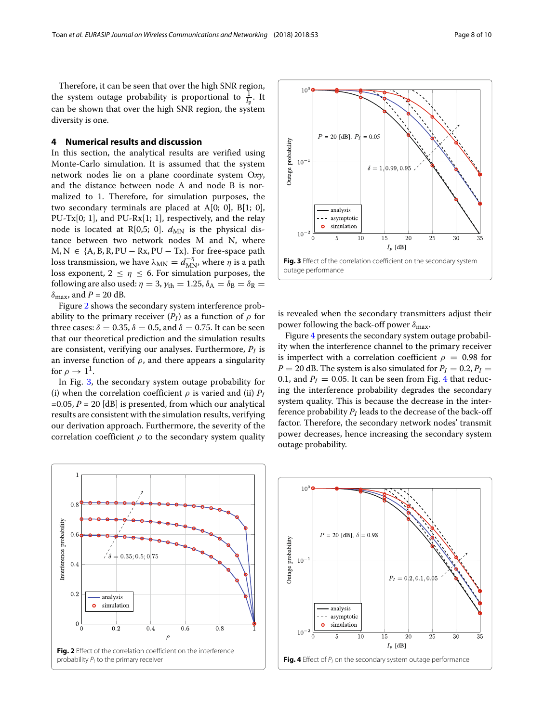Therefore, it can be seen that over the high SNR region, the system outage probability is proportional to  $\frac{1}{I_p}$ . It can be shown that over the high SNR region, the system diversity is one.

# <span id="page-7-0"></span>**4 Numerical results and discussion**

In this section, the analytical results are verified using Monte-Carlo simulation. It is assumed that the system network nodes lie on a plane coordinate system O*xy*, and the distance between node A and node B is normalized to 1. Therefore, for simulation purposes, the two secondary terminals are placed at A[0; 0], B[1; 0], PU-Tx[0; 1], and PU-Rx[1; 1], respectively, and the relay node is located at  $R[0,5; 0]$ .  $d_{MN}$  is the physical distance between two network nodes M and N, where  $M, N \in \{A, B, R, PU - Rx, PU - Tx\}$ . For free-space path loss transmission, we have  $\lambda_{MN} = d_{MN}^{-\eta}$ , where  $\eta$  is a path loss exponent,  $2 \leq \eta \leq 6$ . For simulation purposes, the following are also used:  $\eta = 3$ ,  $\gamma_{\text{th}} = 1.25$ ,  $\delta_A = \delta_B = \delta_R =$  $\delta_{\text{max}}$ , and *P* = 20 dB.

Figure [2](#page-7-1) shows the secondary system interference probability to the primary receiver  $(P_I)$  as a function of  $\rho$  for three cases:  $\delta = 0.35$ ,  $\delta = 0.5$ , and  $\delta = 0.75$ . It can be seen that our theoretical prediction and the simulation results are consistent, verifying our analyses. Furthermore, *PI* is an inverse function of  $\rho$ , and there appears a singularity for  $\rho \rightarrow 1^1$ .

In Fig. [3,](#page-7-2) the secondary system outage probability for (i) when the correlation coefficient  $\rho$  is varied and (ii)  $P_I$  $=0.05$ ,  $P = 20$  [dB] is presented, from which our analytical results are consistent with the simulation results, verifying our derivation approach. Furthermore, the severity of the correlation coefficient  $\rho$  to the secondary system quality



<span id="page-7-1"></span>



<span id="page-7-2"></span>is revealed when the secondary transmitters adjust their power following the back-off power  $\delta_{\text{max}}$ .

Figure [4](#page-7-3) presents the secondary system outage probability when the interference channel to the primary receiver is imperfect with a correlation coefficient  $\rho = 0.98$  for  $P = 20$  dB. The system is also simulated for  $P_I = 0.2$ ,  $P_I = 0.2$ 0.1, and  $P_I = 0.05$ . It can be seen from Fig. [4](#page-7-3) that reducing the interference probability degrades the secondary system quality. This is because the decrease in the interference probability *PI* leads to the decrease of the back-off factor. Therefore, the secondary network nodes' transmit power decreases, hence increasing the secondary system outage probability.

<span id="page-7-3"></span>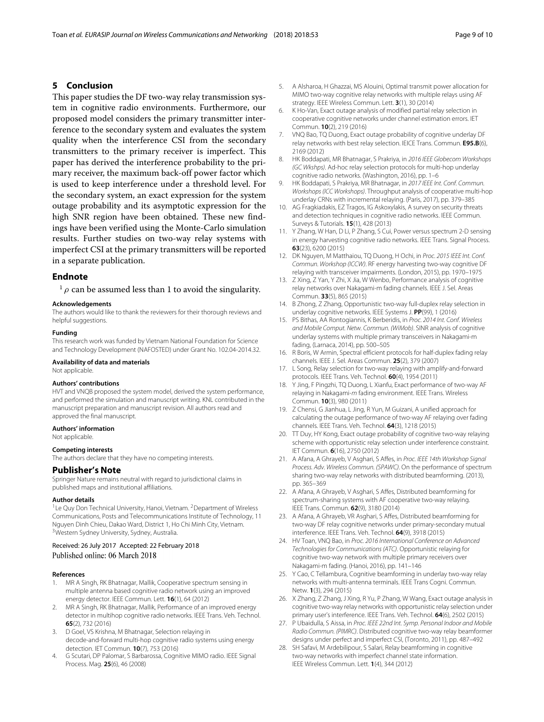# <span id="page-8-25"></span>**5 Conclusion**

This paper studies the DF two-way relay transmission system in cognitive radio environments. Furthermore, our proposed model considers the primary transmitter interference to the secondary system and evaluates the system quality when the interference CSI from the secondary transmitters to the primary receiver is imperfect. This paper has derived the interference probability to the primary receiver, the maximum back-off power factor which is used to keep interference under a threshold level. For the secondary system, an exact expression for the system outage probability and its asymptotic expression for the high SNR region have been obtained. These new findings have been verified using the Monte-Carlo simulation results. Further studies on two-way relay systems with imperfect CSI at the primary transmitters will be reported in a separate publication.

# **Endnote**

 $1 \rho$  can be assumed less than 1 to avoid the singularity.

#### **Acknowledgements**

The authors would like to thank the reviewers for their thorough reviews and helpful suggestions.

#### **Funding**

This research work was funded by Vietnam National Foundation for Science and Technology Development (NAFOSTED) under Grant No. 102.04-2014.32.

#### **Availability of data and materials**

Not applicable.

### **Authors' contributions**

HVT and VNQB proposed the system model, derived the system performance, and performed the simulation and manuscript writing. KNL contributed in the manuscript preparation and manuscript revision. All authors read and approved the final manuscript.

#### **Authors' information**

Not applicable.

#### **Competing interests**

The authors declare that they have no competing interests.

#### **Publisher's Note**

Springer Nature remains neutral with regard to jurisdictional claims in published maps and institutional affiliations.

#### **Author details**

<sup>1</sup> Le Quy Don Technical University, Hanoi, Vietnam. <sup>2</sup> Department of Wireless Communications, Posts and Telecommunications Institute of Technology, 11 Nguyen Dinh Chieu, Dakao Ward, District 1, Ho Chi Minh City, Vietnam. <sup>3</sup>Western Sydney University, Sydney, Australia.

#### Received: 26 July 2017 Accepted: 22 February 2018 Published online: 06 March 2018

#### **References**

- <span id="page-8-0"></span>1. MR A Singh, RK Bhatnagar, Mallik, Cooperative spectrum sensing in multiple antenna based cognitive radio network using an improved energy detector. IEEE Commun. Lett. **16**(1), 64 (2012)
- 2. MR A Singh, RK Bhatnagar, Mallik, Performance of an improved energy detector in multihop cognitive radio networks. IEEE Trans. Veh. Technol. **65**(2), 732 (2016)
- <span id="page-8-1"></span>3. D Goel, VS Krishna, M Bhatnagar, Selection relaying in decode-and-forward multi-hop cognitive radio systems using energy detection. IET Commun. **10**(7), 753 (2016)
- <span id="page-8-2"></span>4. G Scutari, DP Palomar, S Barbarossa, Cognitive MIMO radio. IEEE Signal Process. Mag. **25**(6), 46 (2008)
- <span id="page-8-3"></span>5. A Alsharoa, H Ghazzai, MS Alouini, Optimal transmit power allocation for MIMO two-way cognitive relay networks with multiple relays using AF strategy. IEEE Wireless Commun. Lett. **3**(1), 30 (2014)
- <span id="page-8-4"></span>6. K Ho-Van, Exact outage analysis of modified partial relay selection in cooperative cognitive networks under channel estimation errors. IET Commun. **10**(2), 219 (2016)
- <span id="page-8-5"></span>7. VNQ Bao, TQ Duong, Exact outage probability of cognitive underlay DF relay networks with best relay selection. IEICE Trans. Commun. **E95.B**(6), 2169 (2012)
- <span id="page-8-6"></span>8. HK Boddapati, MR Bhatnagar, S Prakriya, in 2016 IEEE Globecom Workshops (GC Wkshps). Ad-hoc relay selection protocols for multi-hop underlay cognitive radio networks. (Washington, 2016), pp. 1–6
- <span id="page-8-7"></span>9. HK Boddapati, S Prakriya, MR Bhatnagar, in 2017 IEEE Int. Conf. Commun. Workshops (ICC Workshops). Throughput analysis of cooperative multi-hop underlay CRNs with incremental relaying. (Paris, 2017), pp. 379–385
- <span id="page-8-8"></span>10. AG Fragkiadakis, EZ Tragos, IG Askoxylakis, A survey on security threats and detection techniques in cognitive radio networks. IEEE Commun. Surveys & Tutorials. **15**(1), 428 (2013)
- <span id="page-8-9"></span>11. Y Zhang, W Han, D Li, P Zhang, S Cui, Power versus spectrum 2-D sensing in energy harvesting cognitive radio networks. IEEE Trans. Signal Process. **63**(23), 6200 (2015)
- <span id="page-8-10"></span>12. DK Nguyen, M Matthaiou, TQ Duong, H Ochi, in Proc. 2015 IEEE Int. Conf. Commun. Workshop (ICCW). RF energy harvesting two-way cognitive DF relaying with transceiver impairments. (London, 2015), pp. 1970–1975
- <span id="page-8-11"></span>13. Z Xing, Z Yan, Y Zhi, X Jia, W Wenbo, Performance analysis of cognitive relay networks over Nakagami-m fading channels. IEEE J. Sel. Areas Commun. **33**(5), 865 (2015)
- 14. B Zhong, Z Zhang, Opportunistic two-way full-duplex relay selection in underlay cognitive networks. IEEE Systems J. **PP**(99), 1 (2016)
- <span id="page-8-12"></span>15. PS Bithas, AA Rontogiannis, K Berberidis, in Proc. 2014 Int. Conf. Wireless and Mobile Comput. Netw. Commun. (WiMob). SINR analysis of cognitive underlay systems with multiple primary transceivers in Nakagami-m fading, (Larnaca, 2014), pp. 500–505
- <span id="page-8-13"></span>16. R Boris, W Armin, Spectral efficient protocols for half-duplex fading relay channels. IEEE J. Sel. Areas Commun. **25**(2), 379 (2007)
- <span id="page-8-14"></span>17. L Song, Relay selection for two-way relaying with amplify-and-forward protocols. IEEE Trans. Veh. Technol. **60**(4), 1954 (2011)
- <span id="page-8-15"></span>18. Y Jing, F Pingzhi, TQ Duong, L Xianfu, Exact performance of two-way AF relaying in Nakagami-m fading environment. IEEE Trans. Wireless Commun. **10**(3), 980 (2011)
- <span id="page-8-16"></span>19. Z Chensi, G Jianhua, L Jing, R Yun, M Guizani, A unified approach for calculating the outage performance of two-way AF relaying over fading channels. IEEE Trans. Veh. Technol. **64**(3), 1218 (2015)
- <span id="page-8-17"></span>20. TT Duy, HY Kong, Exact outage probability of cognitive two-way relaying scheme with opportunistic relay selection under interference constraint. IET Commun. **6**(16), 2750 (2012)
- <span id="page-8-18"></span>21. A Afana, A Ghrayeb, V Asghari, S Affes, in Proc. IEEE 14th Workshop Signal Process. Adv. Wireless Commun. (SPAWC). On the performance of spectrum sharing two-way relay networks with distributed beamforming. (2013), pp. 365–369
- 22. A Afana, A Ghrayeb, V Asghari, S Affes, Distributed beamforming for spectrum-sharing systems with AF cooperative two-way relaying. IEEE Trans. Commun. **62**(9), 3180 (2014)
- <span id="page-8-19"></span>23. A Afana, A Ghrayeb, VR Asghari, S Affes, Distributed beamforming for two-way DF relay cognitive networks under primary-secondary mutual interference. IEEE Trans. Veh. Technol. **64**(9), 3918 (2015)
- <span id="page-8-20"></span>24. HV Toan, VNQ Bao, in Proc. 2016 International Conference on Advanced Technologies for Communications (ATC). Opportunistic relaying for cognitive two-way network with multiple primary receivers over Nakagami-m fading. (Hanoi, 2016), pp. 141–146
- <span id="page-8-21"></span>25. Y Cao, C Tellambura, Cognitive beamforming in underlay two-way relay networks with multi-antenna terminals. IEEE Trans Cogni. Commun. Netw. **1**(3), 294 (2015)
- <span id="page-8-22"></span>26. X Zhang, Z Zhang, J Xing, R Yu, P Zhang, W Wang, Exact outage analysis in cognitive two-way relay networks with opportunistic relay selection under primary user's interference. IEEE Trans. Veh. Technol. **64**(6), 2502 (2015)
- <span id="page-8-23"></span>27. P Ubaidulla, S Aissa, in Proc. IEEE 22nd Int. Symp. Personal Indoor and Mobile Radio Commun. (PIMRC). Distributed cognitive two-way relay beamformer designs under perfect and imperfect CSI, (Toronto, 2011), pp. 487–492
- <span id="page-8-24"></span>28. SH Safavi, M Ardebilipour, S Salari, Relay beamforming in cognitive two-way networks with imperfect channel state information. IEEE Wireless Commun. Lett. **1**(4), 344 (2012)